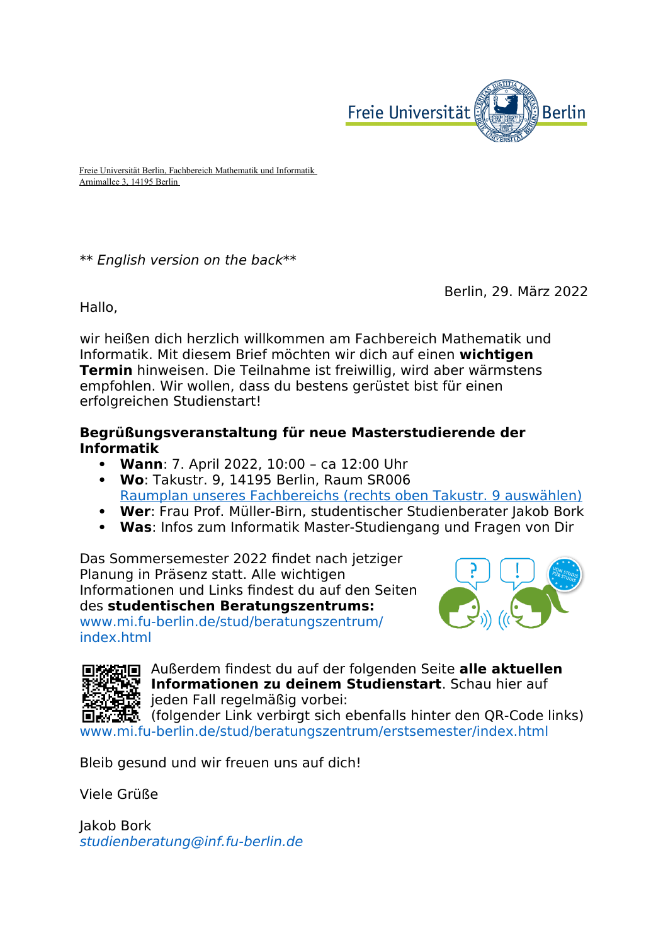

Freie Universität Berlin, Fachbereich Mathematik und Informatik Arnimallee 3, 14195 Berlin

\*\* English version on the back\*\*

Berlin, 29. März 2022

Hallo,

wir heißen dich herzlich willkommen am Fachbereich Mathematik und Informatik. Mit diesem Brief möchten wir dich auf einen **wichtigen Termin** hinweisen. Die Teilnahme ist freiwillig, wird aber wärmstens empfohlen. Wir wollen, dass du bestens gerüstet bist für einen erfolgreichen Studienstart!

## **Begrüßungsveranstaltung für neue Masterstudierende der Informatik**

- **Wann**: 7. April 2022, 10:00 ca 12:00 Uhr
- **Wo**: Takustr. 9, 14195 Berlin, Raum SR006 [Raumplan unseres Fachbereichs \(rechts oben Takustr. 9 auswählen\)](https://mycampus.imp.fu-berlin.de/mvs2/map/)
- **Wer**: Frau Prof. Müller-Birn, studentischer Studienberater Jakob Bork
- **Was**: Infos zum Informatik Master-Studiengang und Fragen von Dir

Das Sommersemester 2022 findet nach jetziger Planung in Präsenz statt. Alle wichtigen Informationen und Links findest du auf den Seiten des **studentischen Beratungszentrums:**  [www.mi.fu-berlin.de/stud/beratungszentrum/](http://www.mi.fu-berlin.de/stud/beratungszentrum/index.html) [index.html](http://www.mi.fu-berlin.de/stud/beratungszentrum/index.html)





Außerdem findest du auf der folgenden Seite **alle aktuellen Informationen zu deinem Studienstart**. Schau hier auf i jeden Fall regelmäßig vorbei:

(folgender Link verbirgt sich ebenfalls hinter den QR-Code links) [www.mi.fu-berlin.de/stud/beratungszentrum/erstsemester/index.html](http://www.mi.fu-berlin.de/stud/beratungszentrum/erstsemester/index.html)

Bleib gesund und wir freuen uns auf dich!

Viele Grüße

Jakob Bork [studienberatung@inf.fu-berlin.de](mailto:studienberatung@inf.fu-berlin.de)